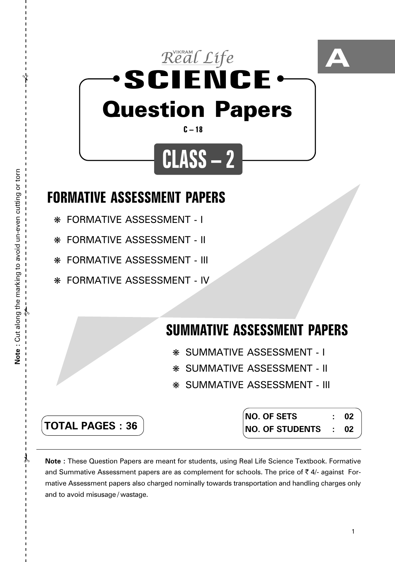

## **FORMATIVE ASSESSMENT PAPERS**

- ❋ FORMATIVE ASSESSMENT I
- ❋ FORMATIVE ASSESSMENT II
- ❋ FORMATIVE ASSESSMENT III
- ❋ FORMATIVE ASSESSMENT IV

# **SUMMATIVE ASSESSMENT PAPERS**

- ❋ SUMMATIVE ASSESSMENT I
- ❋ SUMMATIVE ASSESSMENT II
- ❋ SUMMATIVE ASSESSMENT III

| <b>TOTAL PAGES: 36</b> |  |
|------------------------|--|

**NO. OF SETS : 02 NO. OF STUDENTS : 02**

**Note :** These Question Papers are meant for students, using Real Life Science Textbook. Formative and Summative Assessment papers are as complement for schools. The price of  $\bar{\tau}$  4/- against Formative Assessment papers also charged nominally towards transportation and handling charges only and to avoid misusage / wastage.

 $\lambda$ 

 $\mathcal{Y}$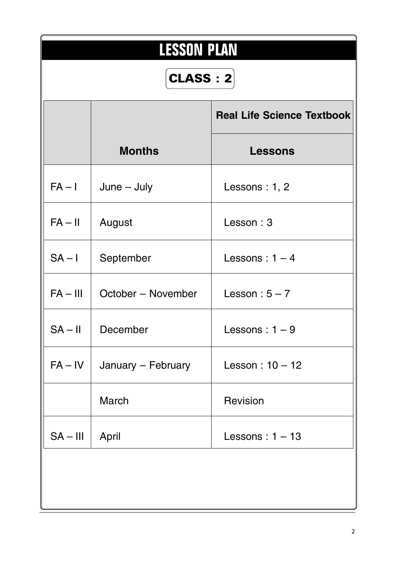|            | <b>LESSON PLAN</b> |                                   |  |  |  |  |  |  |
|------------|--------------------|-----------------------------------|--|--|--|--|--|--|
|            | <b>CLASS : 2</b>   |                                   |  |  |  |  |  |  |
|            |                    | <b>Real Life Science Textbook</b> |  |  |  |  |  |  |
|            | <b>Months</b>      | <b>Lessons</b>                    |  |  |  |  |  |  |
| $FA - I$   | $June - July$      | Lessons : $1, 2$                  |  |  |  |  |  |  |
| $FA - II$  | August             | Lesson: 3                         |  |  |  |  |  |  |
| $SA - I$   | September          | Lessons: $1 - 4$                  |  |  |  |  |  |  |
| $FA - III$ | October - November | Lesson: $5 - 7$                   |  |  |  |  |  |  |
|            | $SA - II$ December | Lessons: $1-9$                    |  |  |  |  |  |  |
| $FA - IV$  | January - February | Lesson: $10 - 12$                 |  |  |  |  |  |  |
|            | March              | Revision                          |  |  |  |  |  |  |
| $SA - III$ | April              | Lessons: $1 - 13$                 |  |  |  |  |  |  |
|            |                    |                                   |  |  |  |  |  |  |
|            |                    |                                   |  |  |  |  |  |  |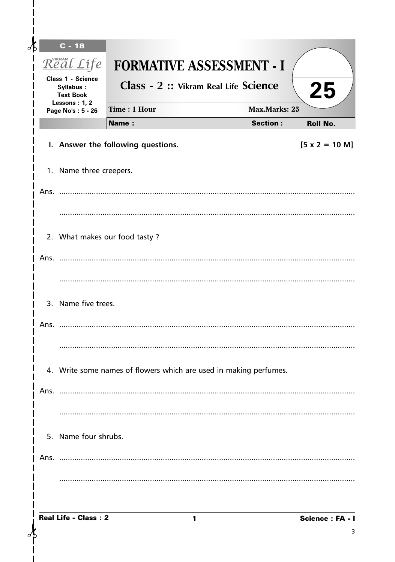| $\delta$ | $C - 18$<br>Real Life<br><b>Class 1 - Science</b> | <b>FORMATIVE ASSESSMENT - I</b><br>Class - 2 :: Vikram Real Life Science |                      |                               |
|----------|---------------------------------------------------|--------------------------------------------------------------------------|----------------------|-------------------------------|
|          | Syllabus:<br><b>Text Book</b>                     |                                                                          |                      | 25                            |
|          | Lessons: 1, 2<br>Page No's: 5 - 26                | Time: 1 Hour                                                             | <b>Max.Marks: 25</b> |                               |
|          |                                                   | <b>Name:</b>                                                             | <b>Section:</b>      | <b>Roll No.</b>               |
|          |                                                   | I. Answer the following questions.                                       |                      | $[5 \times 2 = 10 \text{ M}]$ |
|          | 1. Name three creepers.                           |                                                                          |                      |                               |
|          |                                                   |                                                                          |                      |                               |
|          |                                                   |                                                                          |                      |                               |
|          |                                                   |                                                                          |                      |                               |
|          |                                                   | 2. What makes our food tasty?                                            |                      |                               |
|          |                                                   |                                                                          |                      |                               |
|          |                                                   |                                                                          |                      |                               |
|          | 3. Name five trees.                               |                                                                          |                      |                               |
|          |                                                   |                                                                          |                      |                               |
|          |                                                   |                                                                          |                      |                               |
|          |                                                   |                                                                          |                      |                               |
|          |                                                   | 4. Write some names of flowers which are used in making perfumes.        |                      |                               |
|          |                                                   |                                                                          |                      |                               |
|          |                                                   |                                                                          |                      |                               |
|          | 5. Name four shrubs.                              |                                                                          |                      |                               |
|          |                                                   |                                                                          |                      |                               |
|          |                                                   |                                                                          |                      |                               |
|          |                                                   |                                                                          |                      |                               |

 $\mathbf{I}$ 

 $\delta$ 

 $\mathsf{l}$  $\overline{1}$ 

 $\overline{\phantom{a}}$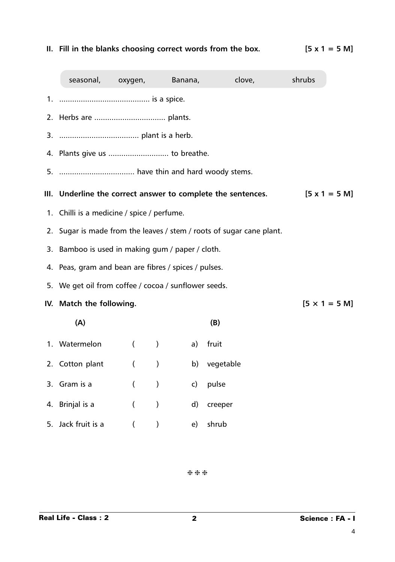### **II. Fill in the blanks choosing correct words from the box. [5 x 1 = 5 M]**

| seasonal,                                                            | oxygen,          |                                               | <b>Example Banana,</b> | clove,                                                       | shrubs                       |
|----------------------------------------------------------------------|------------------|-----------------------------------------------|------------------------|--------------------------------------------------------------|------------------------------|
|                                                                      |                  |                                               |                        |                                                              |                              |
|                                                                      |                  |                                               |                        |                                                              |                              |
|                                                                      |                  |                                               |                        |                                                              |                              |
|                                                                      |                  |                                               |                        |                                                              |                              |
|                                                                      |                  |                                               |                        |                                                              |                              |
|                                                                      |                  |                                               |                        | III. Underline the correct answer to complete the sentences. | $[5 \times 1 = 5 \text{ M}]$ |
| 1. Chilli is a medicine / spice / perfume.                           |                  |                                               |                        |                                                              |                              |
| 2. Sugar is made from the leaves / stem / roots of sugar cane plant. |                  |                                               |                        |                                                              |                              |
| 3. Bamboo is used in making gum / paper / cloth.                     |                  |                                               |                        |                                                              |                              |
| 4. Peas, gram and bean are fibres / spices / pulses.                 |                  |                                               |                        |                                                              |                              |
| 5. We get oil from coffee / cocoa / sunflower seeds.                 |                  |                                               |                        |                                                              |                              |
| IV. Match the following.                                             |                  |                                               |                        |                                                              | $[5 \times 1 = 5 \text{ M}]$ |
| (A)                                                                  |                  |                                               |                        | (B)                                                          |                              |
| 1. Watermelon                                                        | $\left($         | $\left( \begin{array}{c} \end{array} \right)$ | a)                     | fruit                                                        |                              |
| 2. Cotton plant                                                      | $\left($         | $\lambda$                                     | b)                     | vegetable                                                    |                              |
| 3. Gram is a                                                         | $\left($         | $\mathcal{C}$                                 | $\mathsf{c}$           | pulse                                                        |                              |
| 4. Brinjal is a                                                      | $\overline{(\ }$ | $\lambda$                                     |                        | d) creeper                                                   |                              |
| 5. Jack fruit is a                                                   | $\overline{(}$   |                                               | e)                     | shrub                                                        |                              |

❈ ❈ ❈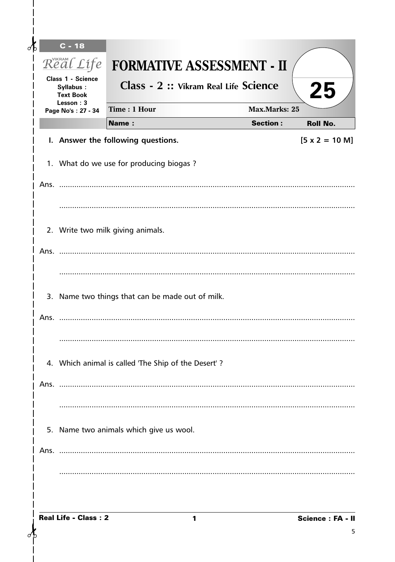| Æ    | $C - 18$                                                  |                                                     |                      |                               |
|------|-----------------------------------------------------------|-----------------------------------------------------|----------------------|-------------------------------|
|      | Real Life                                                 | <b>FORMATIVE ASSESSMENT - II</b>                    |                      |                               |
|      | <b>Class 1 - Science</b><br>Syllabus:<br><b>Text Book</b> | Class - 2 :: Vikram Real Life Science               |                      | 25                            |
|      | Lesson: 3<br>Page No's: 27 - 34                           | Time: 1 Hour                                        | <b>Max.Marks: 25</b> |                               |
|      |                                                           | Name:                                               | <b>Section:</b>      | <b>Roll No.</b>               |
|      |                                                           | I. Answer the following questions.                  |                      | $[5 \times 2 = 10 \text{ M}]$ |
|      |                                                           | 1. What do we use for producing biogas?             |                      |                               |
|      |                                                           |                                                     |                      |                               |
|      |                                                           |                                                     |                      |                               |
|      |                                                           | 2. Write two milk giving animals.                   |                      |                               |
|      |                                                           |                                                     |                      |                               |
|      |                                                           |                                                     |                      |                               |
|      |                                                           | 3. Name two things that can be made out of milk.    |                      |                               |
|      |                                                           |                                                     |                      |                               |
|      |                                                           |                                                     |                      |                               |
|      |                                                           | 4. Which animal is called 'The Ship of the Desert'? |                      |                               |
|      |                                                           |                                                     |                      |                               |
|      |                                                           |                                                     |                      |                               |
|      |                                                           | 5. Name two animals which give us wool.             |                      |                               |
| Ans. |                                                           |                                                     |                      |                               |
|      |                                                           |                                                     |                      |                               |
|      |                                                           |                                                     |                      |                               |
|      | <b>Real Life - Class: 2</b>                               | 1                                                   |                      | Science: FA - II              |

σĿ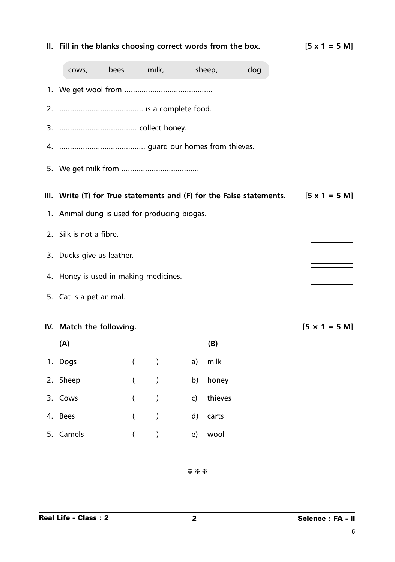# **(A) (B)** 5. Camels ( ) e) wool

|  |  | $\sim$ | ¢<br>۰. |
|--|--|--------|---------|

## **II. Fill in the blanks choosing correct words from the box. [5 x 1 = 5 M]**

| COWS,                                        | <b>bees</b> milk, the mill |                  |               |              | sheep,  | dog                                                                                               |
|----------------------------------------------|----------------------------|------------------|---------------|--------------|---------|---------------------------------------------------------------------------------------------------|
|                                              |                            |                  |               |              |         |                                                                                                   |
|                                              |                            |                  |               |              |         |                                                                                                   |
|                                              |                            |                  |               |              |         |                                                                                                   |
|                                              |                            |                  |               |              |         |                                                                                                   |
|                                              |                            |                  |               |              |         |                                                                                                   |
|                                              |                            |                  |               |              |         | III. Write (T) for True statements and (F) for the False statements. $[5 \times 1 = 5 \text{ M}]$ |
| 1. Animal dung is used for producing biogas. |                            |                  |               |              |         |                                                                                                   |
| 2. Silk is not a fibre.                      |                            |                  |               |              |         |                                                                                                   |
| 3. Ducks give us leather.                    |                            |                  |               |              |         |                                                                                                   |
| 4. Honey is used in making medicines.        |                            |                  |               |              |         |                                                                                                   |
| 5. Cat is a pet animal.                      |                            |                  |               |              |         |                                                                                                   |
| IV. Match the following.                     |                            |                  |               |              |         |                                                                                                   |
| (A)                                          |                            |                  |               |              | (B)     |                                                                                                   |
| 1. Dogs                                      |                            | $\overline{(\ }$ | $\lambda$     | a)           | milk    |                                                                                                   |
| 2. Sheep                                     |                            | $\overline{(\ }$ | $\mathcal{E}$ | b)           | honey   |                                                                                                   |
| 3. Cows                                      |                            | $\overline{(\ }$ | $\mathcal{C}$ | $\mathsf{c}$ | thieves |                                                                                                   |
| 4. Bees                                      |                            | $\overline{(\ }$ | $\big)$       | d)           | carts   |                                                                                                   |
| 5. Camels                                    |                            |                  |               | e)           | wool    |                                                                                                   |

❈ ❈ ❈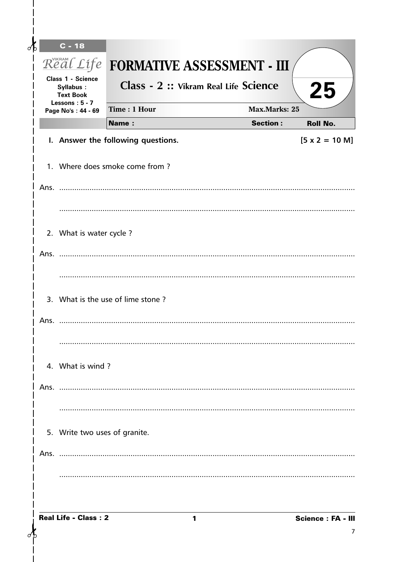| $\delta$ |      | $C - 18$                                                  |                                             |                      |                               |
|----------|------|-----------------------------------------------------------|---------------------------------------------|----------------------|-------------------------------|
|          |      |                                                           | Real Life <b>FORMATIVE ASSESSMENT - III</b> |                      |                               |
|          |      | <b>Class 1 - Science</b><br>Syllabus:<br><b>Text Book</b> | Class - 2 :: Vikram Real Life Science       |                      | 25                            |
|          |      | Lessons: 5 - 7<br>Page No's: 44 - 69                      | Time: 1 Hour                                | <b>Max.Marks: 25</b> |                               |
|          |      |                                                           | <b>Name:</b>                                | <b>Section:</b>      | <b>Roll No.</b>               |
|          |      |                                                           | I. Answer the following questions.          |                      | $[5 \times 2 = 10 \text{ M}]$ |
|          |      |                                                           | 1. Where does smoke come from?              |                      |                               |
|          |      |                                                           |                                             |                      |                               |
|          |      |                                                           |                                             |                      |                               |
|          |      | 2. What is water cycle?                                   |                                             |                      |                               |
|          |      |                                                           |                                             |                      |                               |
|          |      |                                                           |                                             |                      |                               |
|          |      |                                                           | 3. What is the use of lime stone?           |                      |                               |
|          | Ans. |                                                           |                                             |                      |                               |
|          |      |                                                           |                                             |                      |                               |
|          |      | 4. What is wind?                                          |                                             |                      |                               |
|          | Ans. |                                                           |                                             |                      |                               |
|          |      |                                                           |                                             |                      |                               |
|          |      | 5. Write two uses of granite.                             |                                             |                      |                               |
|          |      |                                                           |                                             |                      |                               |
|          |      |                                                           |                                             |                      |                               |
|          |      | <b>Real Life - Class: 2</b>                               | 1                                           |                      | <b>Science: FA - III</b><br>7 |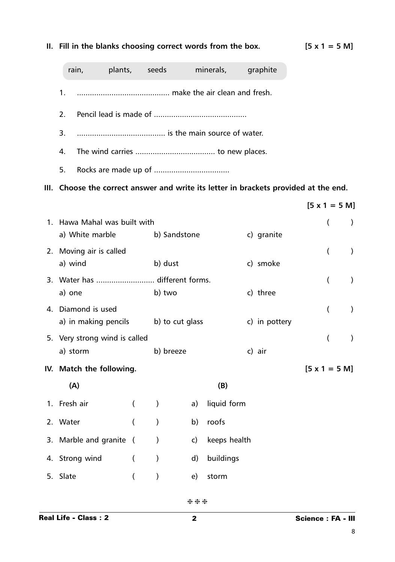|                                    | rain, plants, seeds                       |                |               |                     |              | minerals, graphite                                                                   |                              |           |  |
|------------------------------------|-------------------------------------------|----------------|---------------|---------------------|--------------|--------------------------------------------------------------------------------------|------------------------------|-----------|--|
| 1.                                 |                                           |                |               |                     |              |                                                                                      |                              |           |  |
| 2.                                 |                                           |                |               |                     |              |                                                                                      |                              |           |  |
| 3.                                 |                                           |                |               |                     |              |                                                                                      |                              |           |  |
| 4.                                 |                                           |                |               |                     |              |                                                                                      |                              |           |  |
| 5.                                 |                                           |                |               |                     |              |                                                                                      |                              |           |  |
|                                    |                                           |                |               |                     |              | III. Choose the correct answer and write its letter in brackets provided at the end. |                              |           |  |
|                                    |                                           |                |               |                     |              |                                                                                      | $[5 \times 1 = 5 \text{ M}]$ |           |  |
|                                    | 1. Hawa Mahal was built with              |                |               |                     |              |                                                                                      | $\overline{(}$               | $\lambda$ |  |
| a) White marble (b) Sandstone      |                                           |                |               |                     |              | c) granite                                                                           |                              |           |  |
| 2. Moving air is called<br>a) wind |                                           |                |               | b) dust<br>c) smoke |              |                                                                                      | $\overline{(}$               | $\lambda$ |  |
| 3. Water has  different forms.     |                                           |                |               |                     |              |                                                                                      | $\overline{(}$               | $\lambda$ |  |
| a) one                             |                                           |                | b) two        |                     |              | c) three                                                                             |                              |           |  |
|                                    | 4. Diamond is used                        |                |               |                     |              |                                                                                      | €                            | $\lambda$ |  |
|                                    | a) in making pencils b) to cut glass      |                |               |                     |              | c) in pottery                                                                        |                              |           |  |
|                                    | 5. Very strong wind is called<br>a) storm |                | b) breeze     |                     |              | c) air                                                                               | $\overline{(}$               | $\lambda$ |  |
|                                    | IV. Match the following.                  |                |               |                     |              |                                                                                      | $[5 \times 1 = 5 \text{ M}]$ |           |  |
|                                    | (A)                                       |                |               |                     | (B)          |                                                                                      |                              |           |  |
| 1. Fresh air                       |                                           | $\left($       | $\mathcal{E}$ | a)                  | liquid form  |                                                                                      |                              |           |  |
| 2. Water                           |                                           | $\overline{(}$ | $\mathcal{E}$ | b)                  | roofs        |                                                                                      |                              |           |  |
|                                    | 3. Marble and granite                     | $\sqrt{ }$     | $\mathcal{E}$ | c)                  | keeps health |                                                                                      |                              |           |  |
|                                    | 4. Strong wind                            | $\overline{(}$ | $\mathcal{E}$ | $\mathsf{d}$        | buildings    |                                                                                      |                              |           |  |
| 5. Slate                           |                                           | $\overline{(}$ | $\mathcal{E}$ | e)                  | storm        |                                                                                      |                              |           |  |
|                                    |                                           |                |               |                     |              |                                                                                      |                              |           |  |

#### **II. Fill in the blanks choosing correct words from the box. [5 x 1 = 5 M]**

❈ ❈ ❈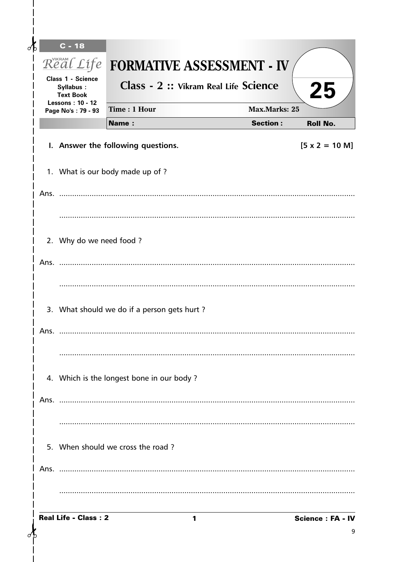| $\partial$ | $C - 18$                             |                                                                              |   |                      |                               |
|------------|--------------------------------------|------------------------------------------------------------------------------|---|----------------------|-------------------------------|
|            | Class 1 - Science<br>Syllabus:       | Real Life FORMATIVE ASSESSMENT - IV<br>Class - 2 :: Vikram Real Life Science |   |                      | 25                            |
|            | <b>Text Book</b><br>Lessons: 10 - 12 | Time: 1 Hour                                                                 |   | <b>Max.Marks: 25</b> |                               |
|            | Page No's: 79 - 93                   | <b>Name:</b>                                                                 |   | <b>Section:</b>      | <b>Roll No.</b>               |
|            |                                      | I. Answer the following questions.                                           |   |                      | $[5 \times 2 = 10 \text{ M}]$ |
|            |                                      | 1. What is our body made up of ?                                             |   |                      |                               |
|            |                                      |                                                                              |   |                      |                               |
|            |                                      |                                                                              |   |                      |                               |
|            | 2. Why do we need food ?             |                                                                              |   |                      |                               |
|            | Ans. $\ldots$                        |                                                                              |   |                      |                               |
|            |                                      |                                                                              |   |                      |                               |
|            |                                      | 3. What should we do if a person gets hurt?                                  |   |                      |                               |
|            | Ans.                                 |                                                                              |   |                      |                               |
|            |                                      |                                                                              |   |                      |                               |
|            |                                      | 4. Which is the longest bone in our body?                                    |   |                      |                               |
|            |                                      |                                                                              |   |                      |                               |
|            |                                      |                                                                              |   |                      |                               |
|            |                                      | 5. When should we cross the road?                                            |   |                      |                               |
|            |                                      |                                                                              |   |                      |                               |
|            |                                      |                                                                              |   |                      |                               |
|            | <b>Real Life - Class: 2</b>          |                                                                              | 1 |                      | <b>Science: FA - IV</b>       |
|            |                                      |                                                                              |   |                      | 9                             |

 $\overline{\phantom{a}}$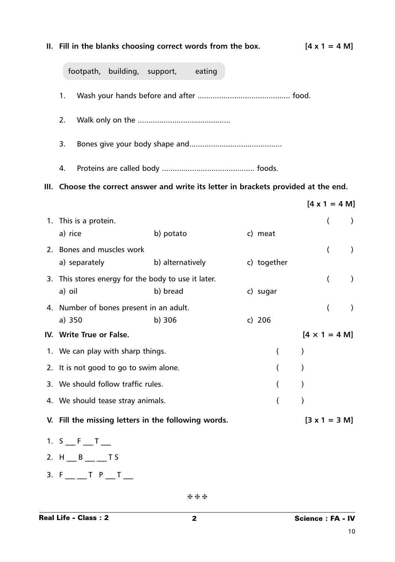# **II.** Fill in the blanks choosing correct words from the box.  $[4 \times 1 = 4 \text{ M}]$ footpath, building, support, eating 1. Wash your hands before and after ........................................... food. 2. Walk only on the ........................................... 3. Bones give your body shape and........................................... 4. Proteins are called body ........................................... foods. **III. Choose the correct answer and write its letter in brackets provided at the end. [4 x 1 = 4 M]** 1. This is a protein. (a) a) rice b) potato c) meat 2. Bones and muscles work ( ) a) separately b) alternatively c) together 3. This stores energy for the body to use it later. ( ) a) oil b) bread c) sugar 4. Number of bones present in an adult. ( ) a) 350 b) 306 c) 206 **IV.** Write True or False.  $[4 \times 1 = 4 \text{ M}]$ 1. We can play with sharp things. (a) 2. It is not good to go to swim alone. ( ) 3. We should follow traffic rules. ( ) 4. We should tease stray animals. (a) **V. Fill the missing letters in the following words. [3 x 1 = 3 M]** 1. S \_\_\_ F \_\_\_ T \_\_\_ 2. H B T S 3.  $F$  \_\_ \_ T  $P$  \_ T \_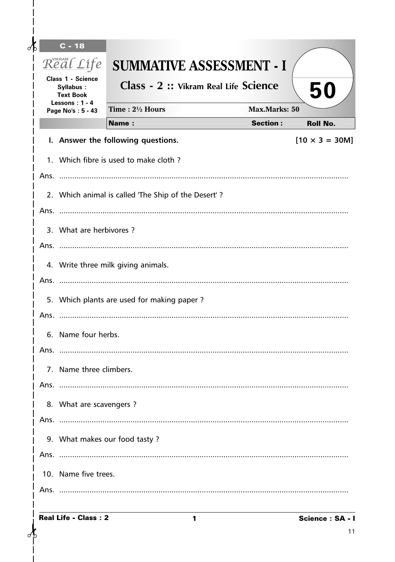| Æ |      | $C - 18$                                                                      |                                                     |                      |                       |
|---|------|-------------------------------------------------------------------------------|-----------------------------------------------------|----------------------|-----------------------|
|   |      | Real Life                                                                     | <b>SUMMATIVE ASSESSMENT - I</b>                     |                      |                       |
|   |      | <b>Class 1 - Science</b><br>Syllabus:<br><b>Text Book</b><br>Lessons: $1 - 4$ | Class - 2 :: Vikram Real Life Science               |                      | 50                    |
|   |      | Page No's: 5 - 43                                                             | Time: 21/2 Hours                                    | <b>Max.Marks: 50</b> |                       |
|   |      |                                                                               | <b>Name:</b>                                        | <b>Section:</b>      | <b>Roll No.</b>       |
|   |      |                                                                               | I. Answer the following questions.                  |                      | $[10 \times 3 = 30M]$ |
|   |      |                                                                               | 1. Which fibre is used to make cloth?               |                      |                       |
|   |      |                                                                               | 2. Which animal is called 'The Ship of the Desert'? |                      |                       |
|   |      | 3. What are herbivores?                                                       |                                                     |                      |                       |
|   |      |                                                                               |                                                     |                      |                       |
|   |      |                                                                               | 4. Write three milk giving animals.                 |                      |                       |
|   |      |                                                                               |                                                     |                      |                       |
|   |      |                                                                               | 5. Which plants are used for making paper?          |                      |                       |
|   |      | 6. Name four herbs.                                                           |                                                     |                      |                       |
|   | Ans. |                                                                               |                                                     |                      |                       |
|   |      | 7. Name three climbers.                                                       |                                                     |                      |                       |
|   |      |                                                                               |                                                     |                      |                       |
|   |      | 8. What are scavengers?                                                       |                                                     |                      |                       |
|   |      |                                                                               |                                                     |                      |                       |
|   |      |                                                                               | 9. What makes our food tasty?                       |                      |                       |
|   |      |                                                                               |                                                     |                      |                       |
|   |      | 10. Name five trees.                                                          |                                                     |                      |                       |
|   |      |                                                                               |                                                     |                      |                       |
|   |      |                                                                               |                                                     |                      |                       |

 $\delta$ 

 $\mathsf{l}$  $\overline{1}$  $\overline{\phantom{a}}$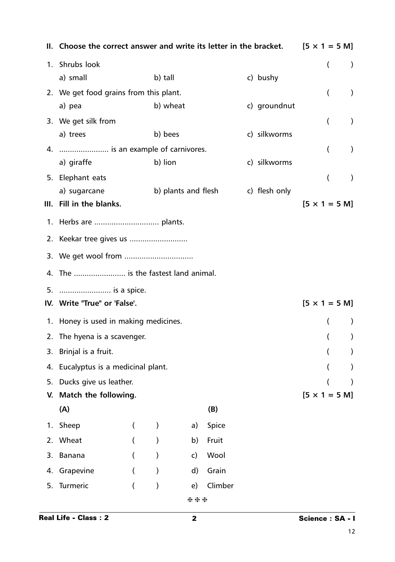|    | II. Choose the correct answer and write its letter in the bracket. |   |                     |              |         |  | $[5 \times 1 = 5 \text{ M}]$ |                              |                |           |
|----|--------------------------------------------------------------------|---|---------------------|--------------|---------|--|------------------------------|------------------------------|----------------|-----------|
|    | 1. Shrubs look                                                     |   |                     |              |         |  |                              |                              | (              | $\lambda$ |
|    | a) small                                                           |   | b) tall             |              |         |  | c) bushy                     |                              |                |           |
|    | 2. We get food grains from this plant.                             |   |                     |              |         |  |                              |                              | €              | $\lambda$ |
|    | a) pea                                                             |   | b) wheat            |              |         |  | c) groundnut                 |                              |                |           |
|    | 3. We get silk from                                                |   |                     |              |         |  |                              |                              | $\overline{ }$ | $\lambda$ |
|    | a) trees                                                           |   | b) bees             |              |         |  | c) silkworms                 |                              |                |           |
|    | 4.  is an example of carnivores.                                   |   |                     |              |         |  |                              |                              | €              | $\lambda$ |
|    | a) giraffe                                                         |   | b) lion             |              |         |  | c) silkworms                 |                              |                |           |
|    | 5. Elephant eats                                                   |   |                     |              |         |  |                              |                              | $\overline{(}$ | $\lambda$ |
|    | a) sugarcane                                                       |   | b) plants and flesh |              |         |  | c) flesh only                |                              |                |           |
|    | III. Fill in the blanks.                                           |   |                     |              |         |  |                              | $[5 \times 1 = 5 \text{ M}]$ |                |           |
|    |                                                                    |   |                     |              |         |  |                              |                              |                |           |
|    |                                                                    |   |                     |              |         |  |                              |                              |                |           |
|    |                                                                    |   |                     |              |         |  |                              |                              |                |           |
|    | 4. The  is the fastest land animal.                                |   |                     |              |         |  |                              |                              |                |           |
| 5. | is a spice.                                                        |   |                     |              |         |  |                              |                              |                |           |
|    | IV. Write "True" or 'False'.                                       |   |                     |              |         |  |                              | $[5 \times 1 = 5 \text{ M}]$ |                |           |
|    | 1. Honey is used in making medicines.                              |   |                     |              |         |  |                              |                              | €              |           |
|    | 2. The hyena is a scavenger.                                       |   |                     |              |         |  |                              |                              |                |           |
|    | 3. Brinjal is a fruit.                                             |   |                     |              |         |  |                              |                              |                |           |
|    | 4. Eucalyptus is a medicinal plant.                                |   |                     |              |         |  |                              |                              |                |           |
| 5. | Ducks give us leather.                                             |   |                     |              |         |  |                              |                              |                |           |
| V. | Match the following.                                               |   |                     |              |         |  |                              | $[5 \times 1 = 5 M]$         |                |           |
|    | (A)                                                                |   |                     |              | (B)     |  |                              |                              |                |           |
| 1. | Sheep                                                              | € | $\mathcal{Y}$       | a)           | Spice   |  |                              |                              |                |           |
| 2. | Wheat                                                              |   |                     | b)           | Fruit   |  |                              |                              |                |           |
| 3. | Banana                                                             | € |                     | $\mathsf{c}$ | Wool    |  |                              |                              |                |           |
| 4. | Grapevine                                                          | € | $\mathcal{E}$       | d)           | Grain   |  |                              |                              |                |           |
| 5. | Turmeric                                                           | ( | $\mathcal{E}$       | e)           | Climber |  |                              |                              |                |           |
|    |                                                                    |   |                     | ***          |         |  |                              |                              |                |           |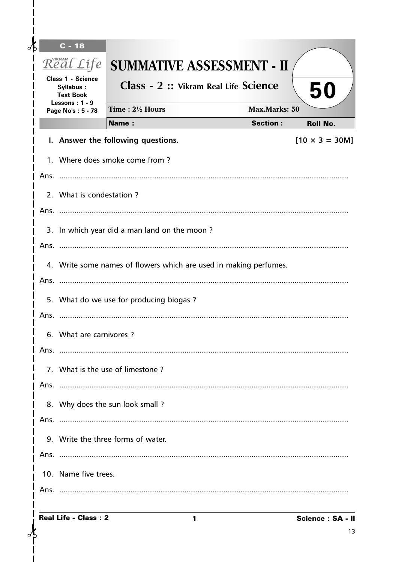| ℳ                                                                                                            |                                                                                                                 | $C - 18$                 |                                       |                      |                       |  |  |  |  |  |
|--------------------------------------------------------------------------------------------------------------|-----------------------------------------------------------------------------------------------------------------|--------------------------|---------------------------------------|----------------------|-----------------------|--|--|--|--|--|
|                                                                                                              | Real Life<br><b>Class 1 - Science</b><br>Syllabus:<br><b>Text Book</b><br>Lessons: $1 - 9$<br>Page No's: 5 - 78 |                          | <b>SUMMATIVE ASSESSMENT - II</b>      |                      |                       |  |  |  |  |  |
|                                                                                                              |                                                                                                                 |                          | Class - 2 :: Vikram Real Life Science | 50                   |                       |  |  |  |  |  |
|                                                                                                              |                                                                                                                 |                          | Time: 21/2 Hours                      | <b>Max.Marks: 50</b> |                       |  |  |  |  |  |
|                                                                                                              |                                                                                                                 |                          | <b>Name:</b>                          | <b>Section:</b>      | <b>Roll No.</b>       |  |  |  |  |  |
|                                                                                                              |                                                                                                                 |                          | I. Answer the following questions.    |                      | $[10 \times 3 = 30M]$ |  |  |  |  |  |
|                                                                                                              |                                                                                                                 |                          | 1. Where does smoke come from?        |                      |                       |  |  |  |  |  |
|                                                                                                              |                                                                                                                 |                          |                                       |                      |                       |  |  |  |  |  |
|                                                                                                              |                                                                                                                 | 2. What is condestation? |                                       |                      |                       |  |  |  |  |  |
|                                                                                                              |                                                                                                                 |                          |                                       |                      |                       |  |  |  |  |  |
|                                                                                                              | 3. In which year did a man land on the moon?                                                                    |                          |                                       |                      |                       |  |  |  |  |  |
|                                                                                                              |                                                                                                                 |                          |                                       |                      |                       |  |  |  |  |  |
| 4. Write some names of flowers which are used in making perfumes.<br>5. What do we use for producing biogas? |                                                                                                                 |                          |                                       |                      |                       |  |  |  |  |  |
|                                                                                                              |                                                                                                                 |                          |                                       |                      |                       |  |  |  |  |  |
|                                                                                                              |                                                                                                                 |                          |                                       |                      |                       |  |  |  |  |  |
|                                                                                                              |                                                                                                                 |                          |                                       |                      |                       |  |  |  |  |  |
|                                                                                                              |                                                                                                                 | 6. What are carnivores?  |                                       |                      |                       |  |  |  |  |  |
|                                                                                                              | Ans.                                                                                                            |                          |                                       |                      |                       |  |  |  |  |  |
|                                                                                                              |                                                                                                                 |                          | 7. What is the use of limestone?      |                      |                       |  |  |  |  |  |
|                                                                                                              |                                                                                                                 |                          |                                       |                      |                       |  |  |  |  |  |
|                                                                                                              |                                                                                                                 |                          | 8. Why does the sun look small?       |                      |                       |  |  |  |  |  |
|                                                                                                              |                                                                                                                 |                          |                                       |                      |                       |  |  |  |  |  |
|                                                                                                              |                                                                                                                 |                          | 9. Write the three forms of water.    |                      |                       |  |  |  |  |  |
|                                                                                                              |                                                                                                                 |                          |                                       |                      |                       |  |  |  |  |  |
|                                                                                                              |                                                                                                                 | 10. Name five trees.     |                                       |                      |                       |  |  |  |  |  |
|                                                                                                              |                                                                                                                 |                          |                                       |                      |                       |  |  |  |  |  |
|                                                                                                              |                                                                                                                 |                          |                                       |                      |                       |  |  |  |  |  |

 $\mathbf{I}$ 

 $\delta$ 

 $\mathbf{I}$  $\overline{\phantom{a}}$  $\overline{\phantom{a}}$  $\overline{\phantom{a}}$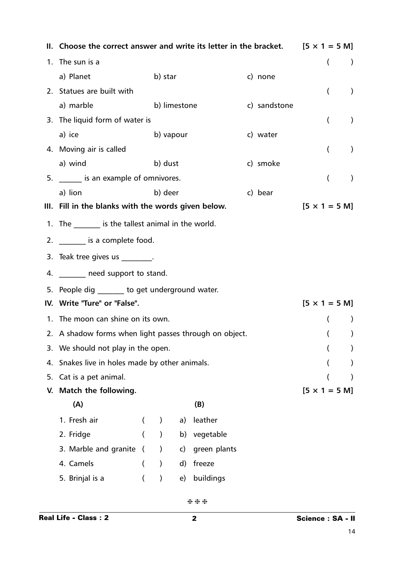|    | II. Choose the correct answer and write its letter in the bracket. $[5 \times 1 = 5 \text{ M}]$ |                    |                  |              |              |  |                          |                              |                |                  |
|----|-------------------------------------------------------------------------------------------------|--------------------|------------------|--------------|--------------|--|--------------------------|------------------------------|----------------|------------------|
|    | 1. The sun is a                                                                                 |                    |                  |              |              |  | $\overline{\mathcal{L}}$ |                              |                |                  |
|    | a) Planet                                                                                       | b) star<br>c) none |                  |              |              |  |                          |                              |                |                  |
|    | 2. Statues are built with                                                                       |                    |                  |              |              |  |                          |                              | $\overline{(}$ | $\left( \right)$ |
|    | a) marble                                                                                       |                    | b) limestone     |              |              |  | c) sandstone             |                              |                |                  |
|    | 3. The liquid form of water is                                                                  |                    |                  |              |              |  |                          |                              | €              | $\left( \right)$ |
|    | a) ice                                                                                          |                    | b) vapour        |              |              |  | c) water                 |                              |                |                  |
|    | 4. Moving air is called                                                                         |                    |                  |              |              |  |                          |                              | $\overline{(}$ | $\lambda$        |
|    | a) wind                                                                                         |                    | b) dust          |              |              |  | c) smoke                 |                              |                |                  |
|    | 5. _______ is an example of omnivores.                                                          |                    |                  |              |              |  |                          |                              | $\overline{(}$ | $\lambda$        |
|    | a) lion                                                                                         |                    | b) deer          |              |              |  | c) bear                  |                              |                |                  |
|    | III. Fill in the blanks with the words given below.                                             |                    |                  |              |              |  |                          | $[5 \times 1 = 5 \text{ M}]$ |                |                  |
|    | 1. The ________ is the tallest animal in the world.                                             |                    |                  |              |              |  |                          |                              |                |                  |
|    | 2. ________ is a complete food.                                                                 |                    |                  |              |              |  |                          |                              |                |                  |
|    | 3. Teak tree gives us $\frac{1}{\sqrt{1-\frac{1}{2}}}\$ .                                       |                    |                  |              |              |  |                          |                              |                |                  |
|    | 4. _______ need support to stand.                                                               |                    |                  |              |              |  |                          |                              |                |                  |
|    | 5. People dig ______ to get underground water.                                                  |                    |                  |              |              |  |                          |                              |                |                  |
|    | IV. Write "Ture" or "False".                                                                    |                    |                  |              |              |  |                          | $[5 \times 1 = 5 \text{ M}]$ |                |                  |
|    | 1. The moon can shine on its own.                                                               |                    |                  |              |              |  |                          |                              |                |                  |
|    | 2. A shadow forms when light passes through on object.                                          |                    |                  |              |              |  |                          |                              |                |                  |
|    | 3. We should not play in the open.                                                              |                    |                  |              |              |  |                          |                              |                |                  |
|    | 4. Snakes live in holes made by other animals.                                                  |                    |                  |              |              |  |                          |                              |                |                  |
| 5. | Cat is a pet animal.                                                                            |                    |                  |              |              |  |                          |                              |                |                  |
| V. | Match the following.                                                                            |                    |                  |              |              |  |                          | $[5 \times 1 = 5 \text{ M}]$ |                |                  |
|    | (A)                                                                                             |                    |                  |              | (B)          |  |                          |                              |                |                  |
|    | 1. Fresh air                                                                                    | €                  | $\left( \right)$ | a)           | leather      |  |                          |                              |                |                  |
|    | 2. Fridge                                                                                       |                    | $\lambda$        | b)           | vegetable    |  |                          |                              |                |                  |
|    | 3. Marble and granite (                                                                         |                    | $\lambda$        | C)           | green plants |  |                          |                              |                |                  |
|    | 4. Camels                                                                                       |                    | $\lambda$        | $\mathsf{d}$ | freeze       |  |                          |                              |                |                  |
|    | 5. Brinjal is a<br>buildings<br>$\mathcal{Y}$<br>e)                                             |                    |                  |              |              |  |                          |                              |                |                  |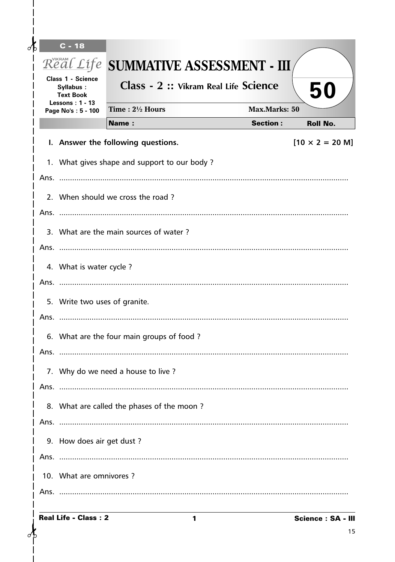| Æ |                         | $C - 18$                                                                       |                                              |                      |                                |  |  |  |  |  |  |
|---|-------------------------|--------------------------------------------------------------------------------|----------------------------------------------|----------------------|--------------------------------|--|--|--|--|--|--|
|   |                         |                                                                                | Real Life SUMMATIVE ASSESSMENT - III         |                      |                                |  |  |  |  |  |  |
|   |                         | <b>Class 1 - Science</b><br>Syllabus:<br><b>Text Book</b><br>Lessons: $1 - 13$ | Class - 2 :: Vikram Real Life Science        |                      | 50                             |  |  |  |  |  |  |
|   | Page No's: 5 - 100      |                                                                                | Time: 21/2 Hours                             | <b>Max.Marks: 50</b> |                                |  |  |  |  |  |  |
|   |                         |                                                                                | <b>Name:</b>                                 | <b>Section:</b>      | <b>Roll No.</b>                |  |  |  |  |  |  |
|   |                         |                                                                                | I. Answer the following questions.           |                      | $[10 \times 2 = 20 \text{ M}]$ |  |  |  |  |  |  |
|   |                         |                                                                                | 1. What gives shape and support to our body? |                      |                                |  |  |  |  |  |  |
|   |                         |                                                                                |                                              |                      |                                |  |  |  |  |  |  |
|   |                         |                                                                                | 2. When should we cross the road?            |                      |                                |  |  |  |  |  |  |
|   |                         |                                                                                |                                              |                      |                                |  |  |  |  |  |  |
|   |                         |                                                                                | 3. What are the main sources of water?       |                      |                                |  |  |  |  |  |  |
|   |                         |                                                                                |                                              |                      |                                |  |  |  |  |  |  |
|   | 4. What is water cycle? |                                                                                |                                              |                      |                                |  |  |  |  |  |  |
|   |                         |                                                                                |                                              |                      |                                |  |  |  |  |  |  |
|   |                         | 5. Write two uses of granite.                                                  |                                              |                      |                                |  |  |  |  |  |  |
|   |                         |                                                                                |                                              |                      |                                |  |  |  |  |  |  |
|   |                         |                                                                                | 6. What are the four main groups of food?    |                      |                                |  |  |  |  |  |  |
|   | Ans.                    |                                                                                |                                              |                      |                                |  |  |  |  |  |  |
|   |                         |                                                                                | 7. Why do we need a house to live?           |                      |                                |  |  |  |  |  |  |
|   |                         |                                                                                |                                              |                      |                                |  |  |  |  |  |  |
|   |                         |                                                                                |                                              |                      |                                |  |  |  |  |  |  |
|   |                         |                                                                                | 8. What are called the phases of the moon?   |                      |                                |  |  |  |  |  |  |
|   |                         |                                                                                |                                              |                      |                                |  |  |  |  |  |  |
|   |                         | 9. How does air get dust?                                                      |                                              |                      |                                |  |  |  |  |  |  |
|   |                         |                                                                                |                                              |                      |                                |  |  |  |  |  |  |
|   |                         | 10. What are omnivores?                                                        |                                              |                      |                                |  |  |  |  |  |  |
|   |                         |                                                                                |                                              |                      |                                |  |  |  |  |  |  |

 $\mathbf{I}$ 

 $\delta$ 

 $\mathbf{I}$  $\overline{\phantom{a}}$  $\overline{\phantom{a}}$  $\overline{\phantom{a}}$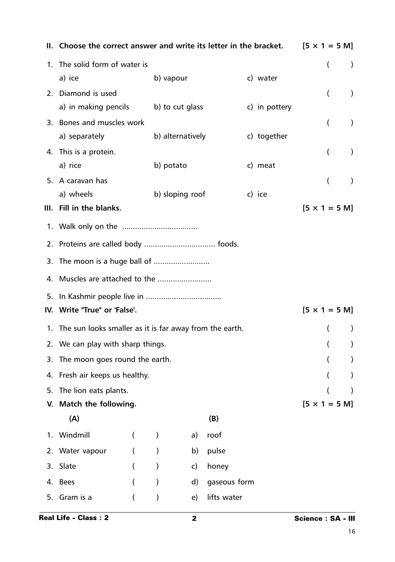|    | II. Choose the correct answer and write its letter in the bracket. |                  |                  |              |               |  |  |                | $[5 \times 1 = 5 \text{ M}]$ |
|----|--------------------------------------------------------------------|------------------|------------------|--------------|---------------|--|--|----------------|------------------------------|
|    | 1. The solid form of water is                                      |                  |                  |              |               |  |  | (              | $\lambda$                    |
|    | a) ice                                                             |                  | b) vapour        |              | c) water      |  |  |                |                              |
|    | 2. Diamond is used                                                 |                  |                  |              |               |  |  | (              | $\mathcal{L}$                |
|    | a) in making pencils                                               |                  | b) to cut glass  |              | c) in pottery |  |  |                |                              |
|    | 3. Bones and muscles work                                          |                  |                  |              |               |  |  | (              | $\lambda$                    |
|    | a) separately                                                      |                  | b) alternatively |              | c) together   |  |  |                |                              |
|    | 4. This is a protein.                                              |                  |                  |              |               |  |  | $\overline{(}$ | $\lambda$                    |
|    | a) rice                                                            |                  | b) potato        |              | c) meat       |  |  |                |                              |
|    | 5. A caravan has                                                   |                  |                  |              |               |  |  | (              | $\lambda$                    |
|    | a) wheels                                                          |                  | b) sloping roof  |              | c) ice        |  |  |                |                              |
|    | III. Fill in the blanks.                                           |                  |                  |              |               |  |  |                | $[5 \times 1 = 5 \text{ M}]$ |
|    |                                                                    |                  |                  |              |               |  |  |                |                              |
|    |                                                                    |                  |                  |              |               |  |  |                |                              |
|    |                                                                    |                  |                  |              |               |  |  |                |                              |
|    |                                                                    |                  |                  |              |               |  |  |                |                              |
| 5. |                                                                    |                  |                  |              |               |  |  |                |                              |
|    | IV. Write "True" or 'False'.<br>$[5 \times 1 = 5 \text{ M}]$       |                  |                  |              |               |  |  |                |                              |
|    | 1. The sun looks smaller as it is far away from the earth.         |                  |                  |              |               |  |  | €              |                              |
|    | 2. We can play with sharp things.                                  |                  |                  |              |               |  |  |                |                              |
|    | 3. The moon goes round the earth.                                  |                  |                  |              |               |  |  |                |                              |
|    | 4. Fresh air keeps us healthy.                                     |                  |                  |              |               |  |  |                |                              |
| 5. | The lion eats plants.                                              |                  |                  |              |               |  |  |                |                              |
|    | V. Match the following.                                            |                  |                  |              |               |  |  |                | $[5 \times 1 = 5 \text{ M}]$ |
|    | (A)                                                                |                  |                  |              | (B)           |  |  |                |                              |
|    | 1. Windmill                                                        | $\overline{(\ }$ | $\mathcal{C}$    | a)           | roof          |  |  |                |                              |
|    | 2. Water vapour                                                    | (                | $\mathcal{Y}$    | b)           | pulse         |  |  |                |                              |
| 3. | Slate                                                              | (                | $\mathcal{E}$    | $\mathsf{c}$ | honey         |  |  |                |                              |
|    | 4. Bees                                                            | $\overline{(}$   | $\lambda$        | $\mathsf{d}$ | gaseous form  |  |  |                |                              |
| 5. | Gram is a                                                          | (                | $\mathcal{E}$    | e)           | lifts water   |  |  |                |                              |
|    |                                                                    |                  |                  |              |               |  |  |                |                              |